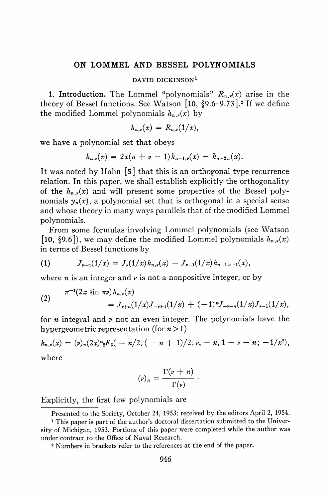## ON LOMMEL AND BESSEL POLYNOMIALS

## DAVID DICKINSON<sup>1</sup>

1. Introduction. The Lommel "polynomials"  $R_{n,r}(x)$  arise in the theory of Bessel functions. See Watson  $[10, §9.6-9.73]$ .<sup>2</sup> If we define the modified Lommel polynomials  $h_{n,\nu}(x)$  by

$$
h_{n,\nu}(x) = R_{n,\nu}(1/x),
$$

we have a polynomial set that obeys

$$
h_{n,\nu}(x) = 2x(n+\nu-1)h_{n-1,\nu}(x) - h_{n-2,\nu}(x).
$$

It was noted by Hahn [5] that this is an orthogonal type recurrence relation. In this paper, we shall establish explicitly the orthogonality of the  $h_{n,r}(x)$  and will present some properties of the Bessel polynomials  $y_n(x)$ , a polynomial set that is orthogonal in a special sense and whose theory in many ways parallels that of the modified Lommel polynomials.

From some formulas involving Lommel polynomials (see Watson [10, §9.6]), we may define the modified Lommel polynomials  $h_{n,\nu}(x)$ in terms of Bessel functions by

(1) 
$$
J_{\nu+n}(1/x) = J_{\nu}(1/x)h_{n,\nu}(x) - J_{\nu-1}(1/x)h_{n-1,\nu+1}(x),
$$

where *n* is an integer and  $\nu$  is not a nonpositive integer, or by

(2) 
$$
\pi^{-1}(2x \sin \pi \nu) h_{n,\nu}(x) = J_{\nu+n}(1/x)J_{-\nu+1}(1/x) + (-1)^n J_{-\nu-n}(1/x)J_{\nu-1}(1/x),
$$

for  $n$  integral and  $\nu$  not an even integer. The polynomials have the hypergeometric representation (for  $n > 1$ )

 $h_{n,\nu}(x) = (\nu)_n (2x)^n{}_2F_3(-n/2, (-n+1)/2; \nu, -n, 1-\nu-n; -1/x^2),$ where

$$
(\nu)_n = \frac{\Gamma(\nu + n)}{\Gamma(\nu)}.
$$

Explicitly, the first few polynomials are

Presented to the Society, October 24, 1953; received by the editors April 2, 1954.

<sup>1</sup> This paper is part of the author's doctoral dissertation submitted to the University of Michigan, 1953. Portions of this paper were completed while the author was under contract to the Office of Naval Research.

<sup>2</sup> Numbers in brackets refer to the references at the end of the paper.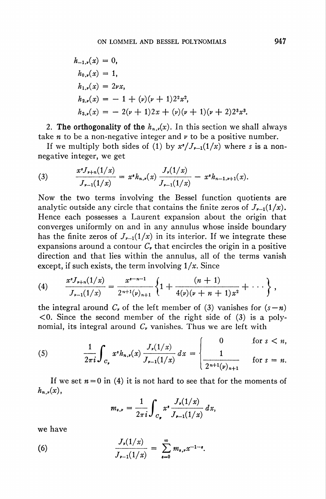$$
h_{-1,\nu}(x) = 0,
$$
  
\n
$$
h_{0,\nu}(x) = 1,
$$
  
\n
$$
h_{1,\nu}(x) = 2\nu x,
$$
  
\n
$$
h_{2,\nu}(x) = -1 + (\nu)(\nu + 1)2^2 x^2,
$$
  
\n
$$
h_{3,\nu}(x) = -2(\nu + 1)2x + (\nu)(\nu + 1)(\nu + 2)2^3 x^3.
$$

2. The orthogonality of the  $h_{n,y}(x)$ . In this section we shall always take *n* to be a non-negative integer and  $\nu$  to be a positive number.

If we multiply both sides of (1) by  $x^*/J_{r-1}(1/x)$  where s is a nonnegative integer, we get

(3) 
$$
\frac{x^s J_{\nu+n}(1/x)}{J_{\nu-1}(1/x)} = x^s h_{n,\nu}(x) \frac{J_{\nu}(1/x)}{J_{\nu-1}(1/x)} - x^s h_{n-1,\nu+1}(x).
$$

Now the two terms involving the Bessel function quotients are analytic outside any circle that contains the finite zeros of  $J_{\nu-1}(1/x)$ . Hence each possesses a Laurent expansion about the origin that converges uniformly on and in any annulus whose inside boundary has the finite zeros of  $J_{r-1}(1/x)$  in its interior. If we integrate these expansions around a contour  $C_{\nu}$  that encircles the origin in a positive direction and that lies within the annulus, all of the terms vanish except, if such exists, the term involving  $1/x$ . Since

(4) 
$$
\frac{x^s J_{\nu+n}(1/x)}{J_{\nu-1}(1/x)} = \frac{x^{s-n-1}}{2^{n+1}(\nu)_{n+1}} \left\{ 1 + \frac{(n+1)}{4(\nu)(\nu+n+1)x^2} + \cdots \right\},
$$

the integral around  $C_r$  of the left member of (3) vanishes for  $(s - n)$  $\leq 0$ . Since the second member of the right side of (3) is a polynomial, its integral around  $C<sub>v</sub>$  vanishes. Thus we are left with

(5) 
$$
\frac{1}{2\pi i}\int_{C_r} x^s h_{n,r}(x) \frac{J_r(1/x)}{J_{r-1}(1/x)} dx = \begin{cases} 0 & \text{for } s < n, \\ 1 & \text{for } s = n. \end{cases}
$$

If we set  $n = 0$  in (4) it is not hard to see that for the moments of  $h_{n,\nu}(x)$ ,

$$
m_{s,r} = \frac{1}{2\pi i} \int_{C_p} x^s \frac{J_r(1/x)}{J_{r-1}(1/x)} dx,
$$

we have

(6) 
$$
\frac{J_{\nu}(1/x)}{J_{\nu-1}(1/x)} = \sum_{s=0}^{\infty} m_{s,\nu} x^{-1-s}.
$$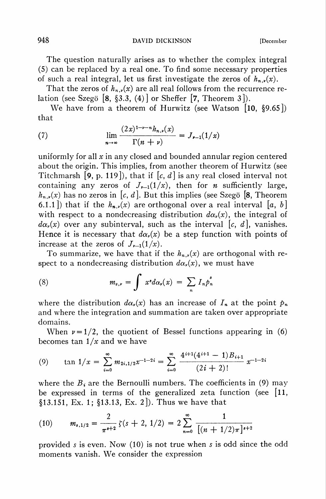948 DAVID DICKINSON [December]

The question naturally arises as to whether the complex integral (5) can be replaced by a real one. To find some necessary properties of such a real integral, let us first investigate the zeros of  $h_{n,r}(x)$ .

That the zeros of  $h_{n,\nu}(x)$  are all real follows from the recurrence relation (see Szegö [8, §3.3,  $(4)$ ] or Sheffer [7, Theorem 3]).

We have from a theorem of Hurwitz (see Watson [10, §9.65]) that

(7) 
$$
\lim_{n \to \infty} \frac{(2x)^{1-\nu - n} h_{n,\nu}(x)}{\Gamma(n+\nu)} = J_{\nu-1}(1/x)
$$

uniformly for all  $x$  in any closed and bounded annular region centered about the origin. This implies, from another theorem of Hurwitz (see Titchmarsh [9, p. 119]), that if  $[c, d]$  is any real closed interval not containing any zeros of  $J_{r-1}(1/x)$ , then for *n* sufficiently large,  $h_{n,r}(x)$  has no zeros in [c, d]. But this implies (see Szegö [8, Theorem 6.1.1) that if the  $h_{n,r}(x)$  are orthogonal over a real interval [a, b] with respect to a nondecreasing distribution  $d\alpha_{\nu}(x)$ , the integral of  $d\alpha_{\nu}(x)$  over any subinterval, such as the interval |c, d|, vanishes. Hence it is necessary that  $d\alpha_{\nu}(x)$  be a step function with points of increase at the zeros of  $J_{\nu-1}(1/x)$ .

To summarize, we have that if the  $h_{n,r}(x)$  are orthogonal with respect to a nondecreasing distribution  $d\alpha_{\nu}(x)$ , we must have

(8) 
$$
m_{s,\nu} = \int x^s d\alpha_{\nu}(x) = \sum_n I_n p_n^s
$$

where the distribution  $d\alpha_r(x)$  has an increase of  $I_n$  at the point  $p_n$ and where the integration and summation are taken over appropriate domains.

When  $\nu = 1/2$ , the quotient of Bessel functions appearing in (6) becomes tan  $1/x$  and we have

(9) 
$$
\tan 1/x = \sum_{i=0}^{\infty} m_{2i,1/2} x^{-1-2i} = \sum_{i=0}^{\infty} \frac{4^{i+1}(4^{i+1}-1)B_{i+1}}{(2i+2)!} x^{-1-2i}
$$

where the  $B_i$  are the Bernoulli numbers. The coefficients in (9) may be expressed in terms of the generalized zeta function (see [11, §13.151, Ex. 1; §13.13, Ex. 2]). Thus we have that

(10) 
$$
m_{s,1/2} = \frac{2}{\pi^{s+2}} \zeta(s+2, 1/2) = 2 \sum_{n=0}^{\infty} \frac{1}{[(n+1/2)\pi]^{s+2}}
$$

provided s is even. Now (10) is not true when s is odd since the odd moments vanish. We consider the expression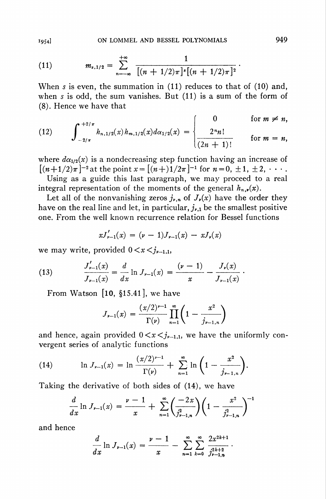(11) 
$$
m_{s,1/2} = \sum_{n=-\infty}^{+\infty} \frac{1}{[(n+1/2)\pi]^s [(n+1/2)\pi]^2}.
$$

When s is even, the summation in (11) reduces to that of (10) and, when s is odd, the sum vanishes. But (11) is a sum of the form of (8). Hence we have that

(12) 
$$
\int_{-2/\pi}^{+2/\pi} h_{n,1/2}(x) h_{m,1/2}(x) d\alpha_{1/2}(x) = \begin{cases} 0 & \text{for } m \neq n, \\ \frac{2^n n!}{(2n+1)!} & \text{for } m = n, \end{cases}
$$

where  $d\alpha_{1/2}(x)$  is a nondecreasing step function having an increase of  $[(n+1/2)\pi]^{-2}$  at the point  $x=[(n+1)/2\pi]^{-1}$  for  $n=0, \pm 1, \pm 2, \cdots$ .

Using as a guide this last paragraph, we may proceed to a real integral representation of the moments of the general  $h_{n,r}(x)$ .

Let all of the nonvanishing zeros  $j_{\nu,n}$  of  $J_{\nu}(x)$  have the order they have on the real line and let, in particular,  $j_{\nu,1}$  be the smallest positive one. From the well known recurrence relation for Bessel functions

$$
xJ'_{\nu-1}(x) = (\nu - 1)J_{\nu-1}(x) - xJ_{\nu}(x)
$$

we may write, provided  $0 < x < j_{\nu-1,1}$ ,

(13) 
$$
\frac{J'_{\nu-1}(x)}{J_{\nu-1}(x)} = \frac{d}{dx} \ln J_{\nu-1}(x) = \frac{(\nu-1)}{x} - \frac{J_{\nu}(x)}{J_{\nu-1}(x)}.
$$

From Watson [10, §15.41], we have

$$
J_{\nu-1}(x) = \frac{(x/2)^{\nu-1}}{\Gamma(\nu)} \prod_{n=1}^{\infty} \left(1 - \frac{x^2}{j_{\nu-1,n}}\right)
$$

and hence, again provided  $0 \lt x \lt j_{r-1,1}$ , we have the uniformly convergent series of analytic functions

(14) 
$$
\ln J_{\nu-1}(x) = \ln \frac{(x/2)^{\nu-1}}{\Gamma(\nu)} + \sum_{n=1}^{\infty} \ln \left( 1 - \frac{x^2}{j_{\nu-1,n}} \right).
$$

Taking the derivative of both sides of (14), we have

$$
\frac{d}{dx}\ln J_{\nu-1}(x) = \frac{\nu-1}{x} + \sum_{n=1}^{\infty} \left(\frac{-2x}{j_{\nu-1,n}^2}\right) \left(1 - \frac{x^2}{j_{\nu-1,n}^2}\right)^{-1}
$$

and hence

$$
\frac{d}{dx}\ln J_{\nu-1}(x) = \frac{\nu-1}{x} - \sum_{n=1}^{\infty} \sum_{k=0}^{\infty} \frac{2x^{2k+1}}{j_{\nu-1,n}^{2k+2}}.
$$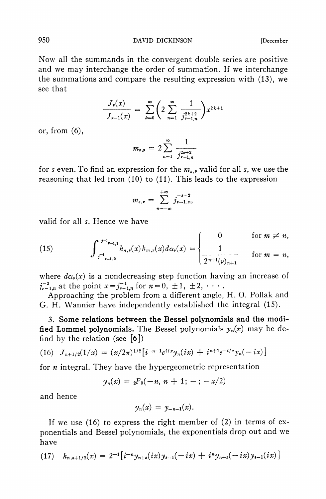950 **DAVID DICKINSON** [December

Now all the summands in the convergent double series are positive and we may interchange the order of summation. If we interchange the summations and compare the resulting expression with (13), we see that

$$
\frac{J_{\nu}(x)}{J_{\nu-1}(x)} = \sum_{k=0}^{\infty} \left( 2 \sum_{n=1}^{\infty} \frac{1}{j_{\nu-1,n}^{2k+2}} \right) x^{2k+1}
$$

or, from (6),

$$
m_{s,\mathbf{p}} = 2 \sum_{n=1}^{\infty} \frac{1}{j_{\nu-1,n}^{2s+2}}
$$

for s even. To find an expression for the  $m_{s,r}$  valid for all s, we use the reasoning that led from (10) to (11). This leads to the expression

$$
m_{s,\nu}=\sum_{n=-\infty}^{+\infty}j_{\nu-1,n}^{-s-2},
$$

valid for all s. Hence we have

(15) 
$$
\int_{\int_{-1}^{1} h_{n,\nu}(x) h_{m,\nu}(x) d\alpha_{\nu}(x) dx_{\nu}}^{\int_{-1}^{1} h_{n,\nu}(x) h_{m,\nu}(x) d\alpha_{\nu}(x) dx_{\nu}} = \begin{cases} 0 & \text{for } m \neq n, \\ \frac{1}{2^{n+1}(\nu)_{n+1}} & \text{for } m = n, \end{cases}
$$

where  $d\alpha_{\nu}(x)$  is a nondecreasing step function having an increase of  $j_{\nu-1,n}^{-2}$  at the point  $x=j_{\nu-1,n}^{-1}$  for  $n=0, \pm 1, \pm 2, \cdots$ .

Approaching the problem from a different angle, H. O. Pollak and G. H. Wannier have independently established the integral (15).

3. Some relations between the Bessel polynomials and the modified Lommel polynomials. The Bessel polynomials  $y_n(x)$  may be defind by the relation (see  $\lceil 6 \rceil$ )

(16) 
$$
J_{n+1/2}(1/x) = (x/2\pi)^{1/2} \left[ i^{-n-1}e^{i/x} y_n(ix) + i^{n+1}e^{-i/x} y_n(-ix) \right]
$$

for  $n$  integral. They have the hypergeometric representation

$$
y_n(x) = \, {}_2F_0(-n, n+1; -; -x/2)
$$

and hence

$$
y_n(x) = y_{-n-1}(x).
$$

If we use  $(16)$  to express the right member of  $(2)$  in terms of exponentials and Bessel polynomials, the exponentials drop out and we have

$$
(17) \quad h_{n,s+1/2}(x) = 2^{-1} \big[ i^{-n} y_{n+s}(ix) y_{s-1}(-ix) + i^{n} y_{n+s}(-ix) y_{s-1}(ix) \big]
$$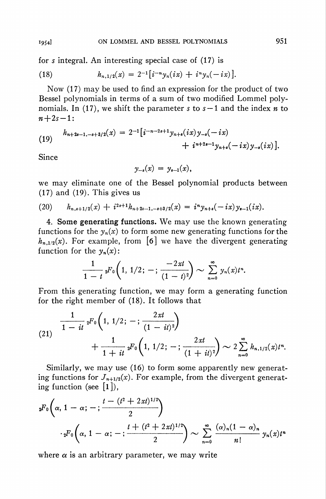for  $s$  integral. An interesting special case of  $(17)$  is

(18) 
$$
h_{n,1/2}(x) = 2^{-1} \left[ i^{-n} y_n(ix) + i^n y_n(-ix) \right].
$$

Now (17) may be used to find an expression for the product of two Bessel polynomials in terms of a sum of two modified Lommel polynomials. In (17), we shift the parameter s to  $s-1$  and the index n to  $n+2s-1$ :

(19) 
$$
h_{n+2s-1,-s+3/2}(x) = 2^{-1} \left[i^{-n-2s+1} y_{n+s}(ix) y_{-s}(-ix) + i^{n+2s-1} y_{n+s}(-ix) y_{-s}(ix)\right].
$$

Since

$$
y_{-s}(x) = y_{s-1}(x)
$$

we may eliminate one of the Bessel polynomial products between (17) and (19). This gives us

$$
(20) \qquad h_{n,s+1/2}(x) + i^{2s+1}h_{n+2s-1,-s+3/2}(x) = i^{n}y_{n+s}(-ix)y_{s-1}(ix)
$$

4. Some generating functions. We may use the known generating functions for the  $y_n(x)$  to form some new generating functions for the  $h_{n,1/2}(x)$ . For example, from [6] we have the divergent generating function for the  $y_n(x)$ :

$$
\frac{1}{1-t} \, {}_2F_0\bigg(1, \, 1/2; \, -; \, \frac{-2\,xt}{(1-t)^2}\bigg) \sim \sum_{n=0}^\infty \, y_n(x) t^n.
$$

From this generating function, we may form a generating function for the right member of (18). It follows that

$$
(21) \quad \frac{1}{1 - it} \, {}_{2}F_{0}\left(1, 1/2; - ; \frac{2xt}{(1 - it)^{2}}\right) + \frac{1}{1 + it} \, {}_{2}F_{0}\left(1, 1/2; - ; \frac{2xt}{(1 + it)^{2}}\right) \sim 2 \sum_{n=0}^{\infty} h_{n, 1/2}(x) t^{n}.
$$

Similarly, we may use (16) to form some apparently new generating functions for  $J_{n+1/2}(x)$ . For example, from the divergent generating function (see  $[1]$ ),

$$
{}_{2}F_{0}\left(\alpha, 1-\alpha; -; \frac{t-(t^{2}+2xt)^{1/2}}{2}\right)
$$

$$
\cdot {}_{2}F_{0}\left(\alpha, 1-\alpha; -; \frac{t+(t^{2}+2xt)^{1/2}}{2}\right) \sim \sum_{n=0}^{\infty} \frac{(\alpha)_{n}(1-\alpha)_{n}}{n!} y_{n}(x)t^{n}
$$

where  $\alpha$  is an arbitrary parameter, we may write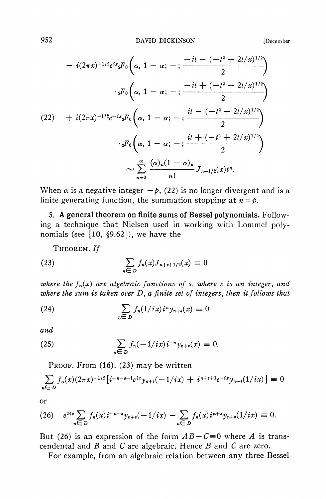$$
-i(2\pi x)^{-1/2}e^{ix}{}_{2}F_{0}\left(\alpha, 1-\alpha; -; \frac{-it - (-t^{2} + 2t/x)^{1/2}}{2}\right)
$$

$$
\cdot {}_{2}F_{0}\left(\alpha, 1-\alpha; -; \frac{-it + (-t^{2} + 2t/x)^{1/2}}{2}\right)
$$

$$
(22) + i(2\pi x)^{-1/2}e^{-ix}{}_{2}F_{0}\left(\alpha, 1-\alpha; -; \frac{it - (-t^{2} + 2t/x)^{1/2}}{2}\right)
$$

$$
\cdot {}_{2}F_{0}\left(\alpha, 1-\alpha; -; \frac{it + (-t^{2} + 2t/x)^{1/2}}{2}\right)
$$

$$
\sim \sum_{n=0}^{\infty} \frac{(\alpha)_{n}(1-\alpha)_{n}}{n!}J_{n+1/2}(x)t^{n}.
$$

When  $\alpha$  is a negative integer  $-\beta$ , (22) is no longer divergent and is a finite generating function, the summation stopping at  $n = p$ .

5. A general theorem on finite sums of Bessel polynomials. Following a technique that Nielsen used in working with Lommel polynomials (see  $[10, §9.62]$ ), we have the

THEOREM. If

(23) 
$$
\sum_{n \in D} f_n(x) J_{n+s+1/2}(x) \equiv 0
$$

where the  $f_n(x)$  are algebraic functions of s, where s is an integer, and where the sum is taken over  $D$ , a finite set of integers, then it follows that

(24) 
$$
\sum_{n \in D} f_n(1/ix) i^n y_{n+\epsilon}(x) \equiv 0
$$

and

(25) 
$$
\sum_{n \in D} f_n(-1/ix) i^{-n} y_{n+s}(x) \equiv 0.
$$

Proof. From  $(16)$ ,  $(23)$  may be written

$$
\sum_{n\in D} f_n(x)(2\pi x)^{-1/2} \left[ i^{-n-s-1}e^{ix} y_{n+s}(-1/ix) + i^{n+s+1}e^{-ix} y_{n+s}(1/ix) \right] \equiv 0
$$

or

$$
(26) \quad e^{2ix} \sum_{n \in D} f_n(x) i^{-n-s} y_{n+s}(-1/ix) - \sum_{n \in D} f_n(x) i^{n+s} y_{n+s}(1/ix) \equiv 0.
$$

But (26) is an expression of the form  $AB - C \equiv 0$  where A is transcendental and  $B$  and  $C$  are algebraic. Hence  $B$  and  $C$  are zero.

For example, from an algebraic relation between any three Bessel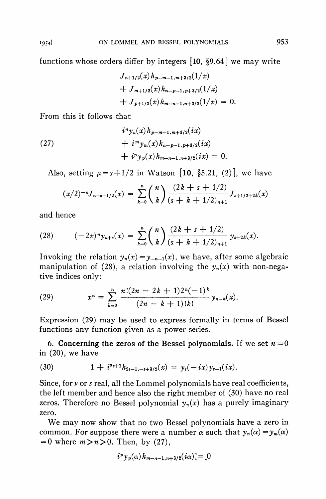functions whose orders differ by integers  $[10, §9.64]$  we may write

$$
J_{n+1/2}(x)h_{p-m-1,m+3/2}(1/x)
$$
  
+  $J_{m+1/2}(x)h_{n-p-1,p+3/2}(1/x)$   
+  $J_{p+1/2}(x)h_{m-n-1,n+3/2}(1/x) = 0.$ 

From this it follows that

(27) 
$$
i^{n} y_{n}(x) h_{p-m-1, m+3/2}(ix) + i^{m} y_{m}(x) h_{n-p-1, p+3/2}(ix) + i^{p} y_{p}(x) h_{m-n-1, n+3/2}(ix) = 0.
$$

Also, setting  $\mu = s + 1/2$  in Watson [10, §5.21, (2)], we have

$$
(x/2)^{-n}J_{n+s+1/2}(x) = \sum_{k=0}^{n} {n \choose k} \frac{(2k+s+1/2)}{(s+k+1/2)_{n+1}} J_{s+1/2+2k}(x)
$$

and hence

(28) 
$$
(-2x)^n y_{n+s}(x) = \sum_{k=0}^n {n \choose k} \frac{(2k+s+1/2)}{(s+k+1/2)_{n+1}} y_{s+2k}(x).
$$

Invoking the relation  $y_n(x) = y_{-n-1}(x)$ , we have, after some algebraic manipulation of (28), a relation involving the  $y_n(x)$  with non-negative indices only:

(29) 
$$
x^{n} = \sum_{k=0}^{n} \frac{n!(2n-2k+1)2^{n}(-1)^{k}}{(2n-k+1)!k!} y_{n-k}(x).
$$

Expression (29) may be used to express formally in terms of Bessel functions any function given as a power series.

6. Concerning the zeros of the Bessel polynomials. If we set  $n = 0$ in (20), we have

(30) 
$$
1 + i^{2s+1}h_{2s-1,-s+3/2}(x) = y_s(-ix)y_{s-1}(ix).
$$

Since, for  $\nu$  or  $s$  real, all the Lommel polynomials have real coefficients, the left member and hence also the right member of (30) have no real zeros. Therefore no Bessel polynomial  $y_n(x)$  has a purely imaginary zero.

We may now show that no two Bessel polynomials have a zero in common. For suppose there were a number  $\alpha$  such that  $y_n(\alpha) = y_m(\alpha)$  $= 0$  where  $m > n > 0$ . Then, by (27),

$$
i^p y_p(\alpha) h_{m-n-1,n+3/2}(i\alpha) = 0
$$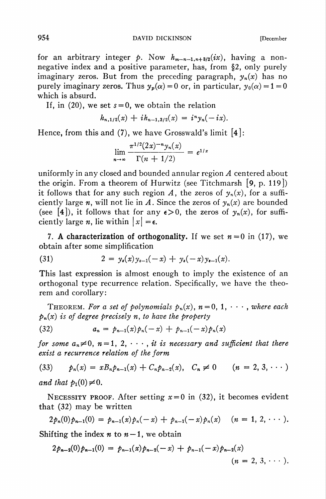for an arbitrary integer p. Now  $h_{m-n-1,n+3/2}(ix)$ , having a nonnegative index and a positive parameter, has, from §2, only purely imaginary zeros. But from the preceding paragraph,  $y_n(x)$  has no purely imaginary zeros. Thus  $y_p(\alpha) = 0$  or, in particular,  $y_0(\alpha) = 1 = 0$ which is absurd.

If, in (20), we set  $s = 0$ , we obtain the relation

$$
h_{n,1/2}(x) + ih_{n-1,3/2}(x) = i^n y_n(-ix).
$$

Hence, from this and  $(7)$ , we have Grosswald's limit [4]:

$$
\lim_{n \to \infty} \frac{\pi^{1/2} (2x)^{-n} y_n(x)}{\Gamma(n + 1/2)} = e^{1/x}
$$

uniformly in any closed and bounded annular region A centered about the origin. From a theorem of Hurwitz (see Titchmarsh [9, p. 119]) it follows that for any such region A, the zeros of  $y_n(x)$ , for a sufficiently large n, will not lie in A. Since the zeros of  $y_n(x)$  are bounded (see [4]), it follows that for any  $\epsilon > 0$ , the zeros of  $y_n(x)$ , for sufficiently large *n*, lie within  $|x| = \epsilon$ .

7. A characterization of orthogonality. If we set  $n = 0$  in (17), we obtain after some simplification

(31) 
$$
2 = y_s(x)y_{s-1}(-x) + y_s(-x)y_{s-1}(x).
$$

This last expression is almost enough to imply the existence of an orthogonal type recurrence relation. Specifically, we have the theorem and corollary:

THEOREM. For a set of polynomials  $p_n(x)$ ,  $n = 0, 1, \dots$ , where each  $p_n(x)$  is of degree precisely n, to have the property

(32) 
$$
a_n = p_{n-1}(x)p_n(-x) + p_{n-1}(-x)p_n(x)
$$

for some  $a_n \neq 0$ ,  $n = 1, 2, \cdots$ , it is necessary and sufficient that there exist a recurrence relation of the form

(33) 
$$
p_n(x) = xB_n p_{n-1}(x) + C_n p_{n-2}(x), \quad C_n \neq 0 \qquad (n = 2, 3, \cdots)
$$

and that  $p_1(0) \neq 0$ .

NECESSITY PROOF. After setting  $x=0$  in (32), it becomes evident that (32) may be written

$$
2p_n(0)p_{n-1}(0) = p_{n-1}(x)p_n(-x) + p_{n-1}(-x)p_n(x) \quad (n = 1, 2, \cdots).
$$

Shifting the index  $n \times n - 1$ , we obtain

$$
2p_{n-2}(0)p_{n-1}(0) = p_{n-1}(x)p_{n-2}(-x) + p_{n-1}(-x)p_{n-2}(x)
$$
  
(*n* = 2, 3, · · · ).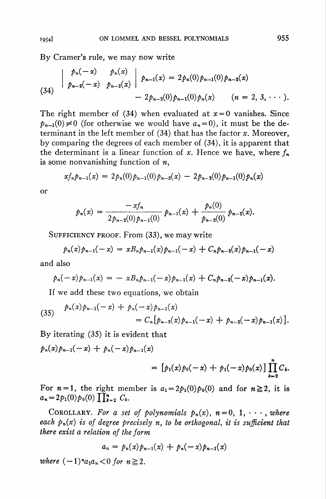By Cramer's rule, we may now write

$$
\begin{array}{c|c|c|c|c|c} & p_n(-x) & p_n(x) & p_{n-1}(x) = 2p_n(0)p_{n-1}(0)p_{n-2}(x) \\ & & p_{n-2}(-x) & p_{n-2}(x) & & -2p_{n-2}(0)p_{n-1}(0)p_n(x) & & (n = 2, 3, \cdots). \end{array}
$$

The right member of (34) when evaluated at  $x=0$  vanishes. Since  $p_{n-1}(0) \neq 0$  (for otherwise we would have  $a_n = 0$ ), it must be the determinant in the left member of  $(34)$  that has the factor x. Moreover, by comparing the degrees of each member of (34), it is apparent that the determinant is a linear function of x. Hence we have, where  $f_n$ is some nonvanishing function of  $n$ ,

$$
xf_n p_{n-1}(x) = 2p_n(0)p_{n-1}(0)p_{n-2}(x) - 2p_{n-2}(0)p_{n-1}(0)p_n(x)
$$

or

$$
p_n(x) = \frac{-xf_n}{2p_{n-2}(0)p_{n-1}(0)} p_{n-1}(x) + \frac{p_n(0)}{p_{n-2}(0)} p_{n-2}(x).
$$

SUFFICIENCY PROOF. From (33), we may write

$$
p_n(x)p_{n-1}(-x) = xB_n p_{n-1}(x)p_{n-1}(-x) + C_n p_{n-2}(x)p_{n-1}(-x)
$$

and also

$$
p_n(-x)p_{n-1}(x) = - xB_n p_{n-1}(-x)p_{n-1}(x) + C_n p_{n-2}(-x)p_{n-1}(x).
$$

If we add these two equations, we obtain

(35) 
$$
p_n(x)p_{n-1}(-x) + p_n(-x)p_{n-1}(x) = C_n[p_{n-2}(x)p_{n-1}(-x) + p_{n-2}(-x)p_{n-1}(x)].
$$

By iterating (35) it is evident that

$$
p_n(x)p_{n-1}(-x) + p_n(-x)p_{n-1}(x) = [p_1(x)p_0(-x) + p_1(-x)p_0(x)] \prod_{k=2}^n C_k
$$

For  $n = 1$ , the right member is  $a_1 = 2p_1(0)p_0(0)$  and for  $n \ge 2$ , it is  $a_n = 2p_1(0)p_0(0)\prod_{k=2}^n C_k.$ 

COROLLARY. For a set of polynomials  $p_n(x)$ ,  $n=0, 1, \dots$ , where each  $p_n(x)$  is of degree precisely n, to be orthogonal, it is sufficient that there exist a relation of the form

$$
a_n = p_n(x)p_{n-1}(x) + p_n(-x)p_{n-1}(x)
$$

where  $(-1)^n a_1 a_n < 0$  for  $n \geq 2$ .